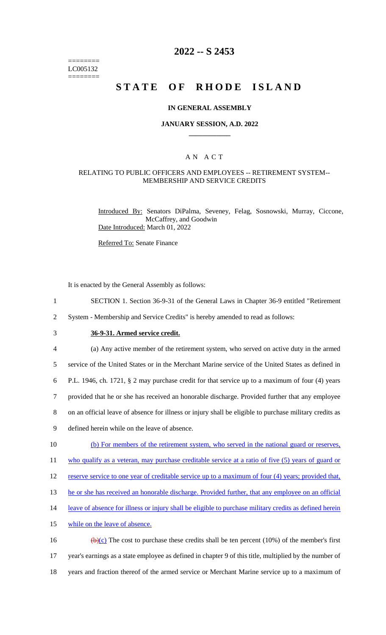======== LC005132 ========

## **2022 -- S 2453**

# **STATE OF RHODE ISLAND**

### **IN GENERAL ASSEMBLY**

### **JANUARY SESSION, A.D. 2022 \_\_\_\_\_\_\_\_\_\_\_\_**

### A N A C T

### RELATING TO PUBLIC OFFICERS AND EMPLOYEES -- RETIREMENT SYSTEM-- MEMBERSHIP AND SERVICE CREDITS

Introduced By: Senators DiPalma, Seveney, Felag, Sosnowski, Murray, Ciccone, McCaffrey, and Goodwin Date Introduced: March 01, 2022

Referred To: Senate Finance

It is enacted by the General Assembly as follows:

- 1 SECTION 1. Section 36-9-31 of the General Laws in Chapter 36-9 entitled "Retirement
- 2 System Membership and Service Credits" is hereby amended to read as follows:
- 

## 3 **36-9-31. Armed service credit.**

4 (a) Any active member of the retirement system, who served on active duty in the armed 5 service of the United States or in the Merchant Marine service of the United States as defined in 6 P.L. 1946, ch. 1721, § 2 may purchase credit for that service up to a maximum of four (4) years 7 provided that he or she has received an honorable discharge. Provided further that any employee 8 on an official leave of absence for illness or injury shall be eligible to purchase military credits as 9 defined herein while on the leave of absence. 10 (b) For members of the retirement system, who served in the national guard or reserves, 11 who qualify as a veteran, may purchase creditable service at a ratio of five (5) years of guard or 12 reserve service to one year of creditable service up to a maximum of four (4) years; provided that, 13 he or she has received an honorable discharge. Provided further, that any employee on an official 14 leave of absence for illness or injury shall be eligible to purchase military credits as defined herein 15 while on the leave of absence. 16 (b)(c) The cost to purchase these credits shall be ten percent (10%) of the member's first

17 year's earnings as a state employee as defined in chapter 9 of this title, multiplied by the number of 18 years and fraction thereof of the armed service or Merchant Marine service up to a maximum of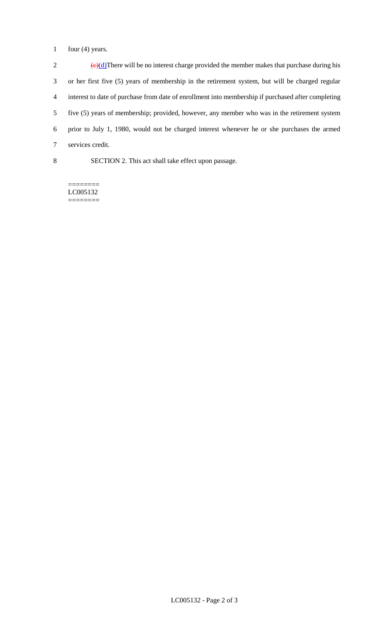1 four (4) years.

 $\left(\frac{e}{d}\right)$ There will be no interest charge provided the member makes that purchase during his or her first five (5) years of membership in the retirement system, but will be charged regular interest to date of purchase from date of enrollment into membership if purchased after completing five (5) years of membership; provided, however, any member who was in the retirement system prior to July 1, 1980, would not be charged interest whenever he or she purchases the armed services credit.

8 SECTION 2. This act shall take effect upon passage.

======== LC005132 ========